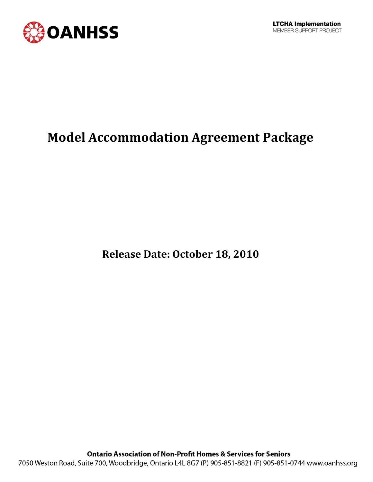

# **Model Accommodation Agreement Package**

**Release Date: October 18, 2010**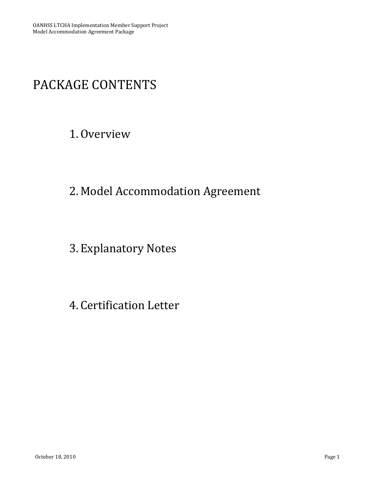# PACKAGE CONTENTS

1.Overview

# 2. Model Accommodation Agreement

3.Explanatory Notes

4. Certification Letter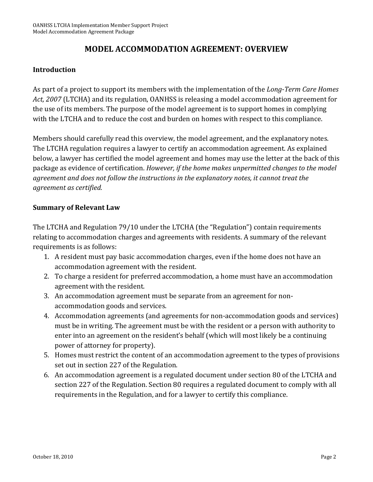## **MODEL ACCOMMODATION AGREEMENT: OVERVIEW**

#### **Introduction**

As part of a project to support its members with the implementation of the *Long-Term Care Homes Act, 2007* (LTCHA) and its regulation, OANHSS is releasing a model accommodation agreement for the use of its members. The purpose of the model agreement is to support homes in complying with the LTCHA and to reduce the cost and burden on homes with respect to this compliance.

Members should carefully read this overview, the model agreement, and the explanatory notes. The LTCHA regulation requires a lawyer to certify an accommodation agreement. As explained below, a lawyer has certified the model agreement and homes may use the letter at the back of this package as evidence of certification. *However, if the home makes unpermitted changes to the model agreement and does not follow the instructions in the explanatory notes, it cannot treat the agreement as certified.*

#### **Summary of Relevant Law**

The LTCHA and Regulation 79/10 under the LTCHA (the "Regulation") contain requirements relating to accommodation charges and agreements with residents. A summary of the relevant requirements is as follows:

- 1. A resident must pay basic accommodation charges, even if the home does not have an accommodation agreement with the resident.
- 2. To charge a resident for preferred accommodation, a home must have an accommodation agreement with the resident.
- 3. An accommodation agreement must be separate from an agreement for nonaccommodation goods and services.
- 4. Accommodation agreements (and agreements for non-accommodation goods and services) must be in writing. The agreement must be with the resident or a person with authority to enter into an agreement on the resident's behalf (which will most likely be a continuing power of attorney for property).
- 5. Homes must restrict the content of an accommodation agreement to the types of provisions set out in section 227 of the Regulation.
- 6. An accommodation agreement is a regulated document under section 80 of the LTCHA and section 227 of the Regulation. Section 80 requires a regulated document to comply with all requirements in the Regulation, and for a lawyer to certify this compliance.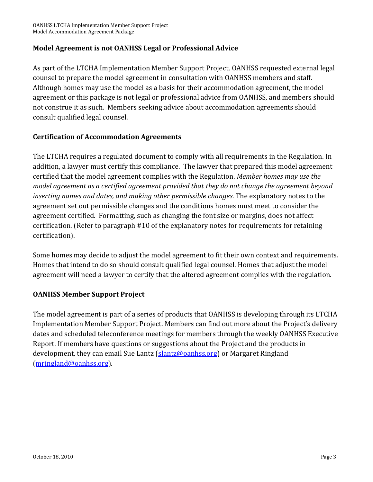#### **Model Agreement is not OANHSS Legal or Professional Advice**

As part of the LTCHA Implementation Member Support Project, OANHSS requested external legal counsel to prepare the model agreement in consultation with OANHSS members and staff. Although homes may use the model as a basis for their accommodation agreement, the model agreement or this package is not legal or professional advice from OANHSS, and members should not construe it as such. Members seeking advice about accommodation agreements should consult qualified legal counsel.

#### **Certification of Accommodation Agreements**

The LTCHA requires a regulated document to comply with all requirements in the Regulation. In addition, a lawyer must certify this compliance. The lawyer that prepared this model agreement certified that the model agreement complies with the Regulation. *Member homes may use the model agreement as a certified agreement provided that they do not change the agreement beyond inserting names and dates, and making other permissible changes.* The explanatory notes to the agreement set out permissible changes and the conditions homes must meet to consider the agreement certified. Formatting, such as changing the font size or margins, does not affect certification. (Refer to paragraph #10 of the explanatory notes for requirements for retaining certification).

Some homes may decide to adjust the model agreement to fit their own context and requirements. Homes that intend to do so should consult qualified legal counsel. Homes that adjust the model agreement will need a lawyer to certify that the altered agreement complies with the regulation.

#### **OANHSS Member Support Project**

The model agreement is part of a series of products that OANHSS is developing through its LTCHA Implementation Member Support Project. Members can find out more about the Project's delivery dates and scheduled teleconference meetings for members through the weekly OANHSS Executive Report. If members have questions or suggestions about the Project and the products in development, they can email Sue Lantz [\(slantz@oanhss.org\)](mailto:slantz@oanhss.org) or Margaret Ringland [\(mringland@oanhss.org\)](mailto:mringland@oanhss.org).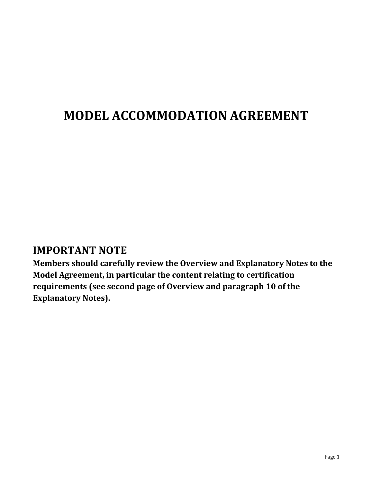## **IMPORTANT NOTE**

**Members should carefully review the Overview and Explanatory Notes to the Model Agreement, in particular the content relating to certification requirements (see second page of Overview and paragraph 10 of the Explanatory Notes).**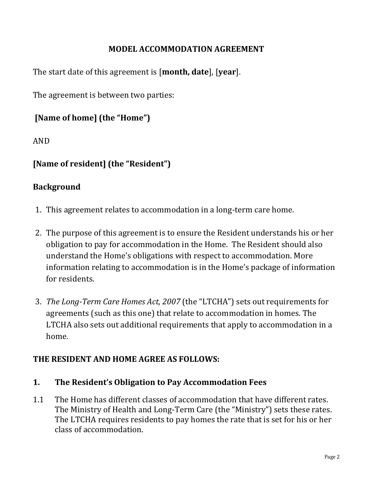The start date of this agreement is [**month, date**], [**year**].

The agreement is between two parties:

## **[Name of home] (the "Home")**

AND

## **[Name of resident] (the "Resident")**

## **Background**

- 1. This agreement relates to accommodation in a long-term care home.
- 2. The purpose of this agreement is to ensure the Resident understands his or her obligation to pay for accommodation in the Home. The Resident should also understand the Home's obligations with respect to accommodation. More information relating to accommodation is in the Home's package of information for residents.
- 3. *The Long-Term Care Homes Act, 2007* (the "LTCHA") sets out requirements for agreements (such as this one) that relate to accommodation in homes. The LTCHA also sets out additional requirements that apply to accommodation in a home.

## **THE RESIDENT AND HOME AGREE AS FOLLOWS:**

- **1. The Resident's Obligation to Pay Accommodation Fees**
- 1.1 The Home has different classes of accommodation that have different rates. The Ministry of Health and Long-Term Care (the "Ministry") sets these rates. The LTCHA requires residents to pay homes the rate that is set for his or her class of accommodation.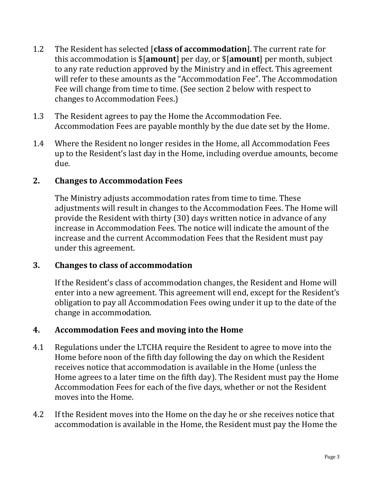- 1.2 The Resident has selected [**class of accommodation**]. The current rate for this accommodation is \$[**amount**] per day, or \$[**amount**] per month, subject to any rate reduction approved by the Ministry and in effect. This agreement will refer to these amounts as the "Accommodation Fee". The Accommodation Fee will change from time to time. (See section 2 below with respect to changes to Accommodation Fees.)
- 1.3 The Resident agrees to pay the Home the Accommodation Fee. Accommodation Fees are payable monthly by the due date set by the Home.
- 1.4 Where the Resident no longer resides in the Home, all Accommodation Fees up to the Resident's last day in the Home, including overdue amounts, become due.

### **2. Changes to Accommodation Fees**

The Ministry adjusts accommodation rates from time to time. These adjustments will result in changes to the Accommodation Fees. The Home will provide the Resident with thirty (30) days written notice in advance of any increase in Accommodation Fees. The notice will indicate the amount of the increase and the current Accommodation Fees that the Resident must pay under this agreement.

### **3. Changes to class of accommodation**

If the Resident's class of accommodation changes, the Resident and Home will enter into a new agreement. This agreement will end, except for the Resident's obligation to pay all Accommodation Fees owing under it up to the date of the change in accommodation.

### **4. Accommodation Fees and moving into the Home**

- 4.1 Regulations under the LTCHA require the Resident to agree to move into the Home before noon of the fifth day following the day on which the Resident receives notice that accommodation is available in the Home (unless the Home agrees to a later time on the fifth day). The Resident must pay the Home Accommodation Fees for each of the five days, whether or not the Resident moves into the Home.
- 4.2 If the Resident moves into the Home on the day he or she receives notice that accommodation is available in the Home, the Resident must pay the Home the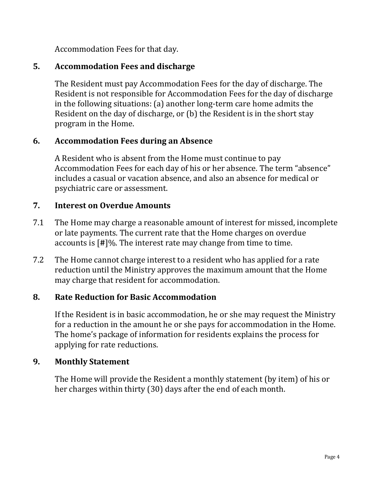Accommodation Fees for that day.

## **5. Accommodation Fees and discharge**

The Resident must pay Accommodation Fees for the day of discharge. The Resident is not responsible for Accommodation Fees for the day of discharge in the following situations: (a) another long-term care home admits the Resident on the day of discharge, or (b) the Resident is in the short stay program in the Home.

## **6. Accommodation Fees during an Absence**

A Resident who is absent from the Home must continue to pay Accommodation Fees for each day of his or her absence. The term "absence" includes a casual or vacation absence, and also an absence for medical or psychiatric care or assessment.

### **7. Interest on Overdue Amounts**

- 7.1 The Home may charge a reasonable amount of interest for missed, incomplete or late payments. The current rate that the Home charges on overdue accounts is [**#**]%. The interest rate may change from time to time.
- 7.2 The Home cannot charge interest to a resident who has applied for a rate reduction until the Ministry approves the maximum amount that the Home may charge that resident for accommodation.

### **8. Rate Reduction for Basic Accommodation**

If the Resident is in basic accommodation, he or she may request the Ministry for a reduction in the amount he or she pays for accommodation in the Home. The home's package of information for residents explains the process for applying for rate reductions.

### **9. Monthly Statement**

The Home will provide the Resident a monthly statement (by item) of his or her charges within thirty (30) days after the end of each month.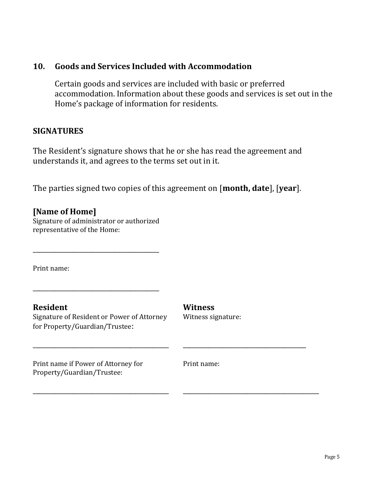### **10. Goods and Services Included with Accommodation**

Certain goods and services are included with basic or preferred accommodation. Information about these goods and services is set out in the Home's package of information for residents.

#### **SIGNATURES**

The Resident's signature shows that he or she has read the agreement and understands it, and agrees to the terms set out in it.

The parties signed two copies of this agreement on [**month, date**], [**year**].

### **[Name of Home]**

Signature of administrator or authorized representative of the Home:

\_\_\_\_\_\_\_\_\_\_\_\_\_\_\_\_\_\_\_\_\_\_\_\_\_\_\_\_\_\_\_\_\_\_\_\_\_\_\_\_

\_\_\_\_\_\_\_\_\_\_\_\_\_\_\_\_\_\_\_\_\_\_\_\_\_\_\_\_\_\_\_\_\_\_\_\_\_\_\_\_

Print name:

**Resident** Signature of Resident or Power of Attorney for Property/Guardian/Trustee:

\_\_\_\_\_\_\_\_\_\_\_\_\_\_\_\_\_\_\_\_\_\_\_\_\_\_\_\_\_\_\_\_\_\_\_\_\_\_\_\_\_\_\_

\_\_\_\_\_\_\_\_\_\_\_\_\_\_\_\_\_\_\_\_\_\_\_\_\_\_\_\_\_\_\_\_\_\_\_\_\_\_\_\_\_\_\_

**Witness** Witness signature:

\_\_\_\_\_\_\_\_\_\_\_\_\_\_\_\_\_\_\_\_\_\_\_\_\_\_\_\_\_\_\_\_\_\_\_\_\_\_\_

\_\_\_\_\_\_\_\_\_\_\_\_\_\_\_\_\_\_\_\_\_\_\_\_\_\_\_\_\_\_\_\_\_\_\_\_\_\_\_\_\_\_\_

Print name if Power of Attorney for Property/Guardian/Trustee:

Print name: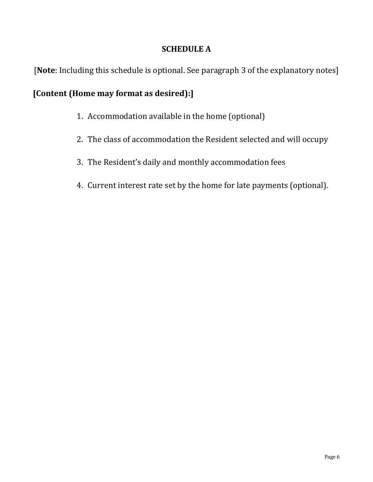#### **SCHEDULE A**

[**Note**: Including this schedule is optional. See paragraph 3 of the explanatory notes]

## **[Content (Home may format as desired):]**

- 1. Accommodation available in the home (optional)
- 2. The class of accommodation the Resident selected and will occupy
- 3. The Resident's daily and monthly accommodation fees
- 4. Current interest rate set by the home for late payments (optional).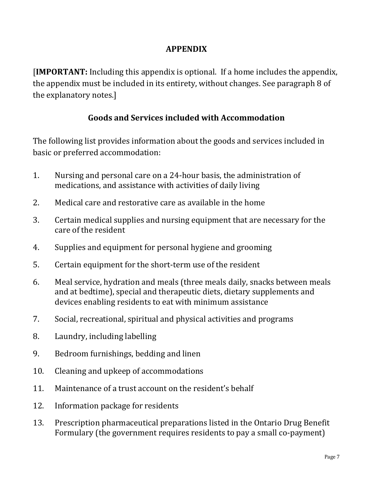### **APPENDIX**

[**IMPORTANT:** Including this appendix is optional. If a home includes the appendix, the appendix must be included in its entirety, without changes. See paragraph 8 of the explanatory notes.]

## **Goods and Services included with Accommodation**

The following list provides information about the goods and services included in basic or preferred accommodation:

- 1. Nursing and personal care on a 24-hour basis, the administration of medications, and assistance with activities of daily living
- 2. Medical care and restorative care as available in the home
- 3. Certain medical supplies and nursing equipment that are necessary for the care of the resident
- 4. Supplies and equipment for personal hygiene and grooming
- 5. Certain equipment for the short-term use of the resident
- 6. Meal service, hydration and meals (three meals daily, snacks between meals and at bedtime), special and therapeutic diets, dietary supplements and devices enabling residents to eat with minimum assistance
- 7. Social, recreational, spiritual and physical activities and programs
- 8. Laundry, including labelling
- 9. Bedroom furnishings, bedding and linen
- 10. Cleaning and upkeep of accommodations
- 11. Maintenance of a trust account on the resident's behalf
- 12. Information package for residents
- 13. Prescription pharmaceutical preparations listed in the Ontario Drug Benefit Formulary (the government requires residents to pay a small co-payment)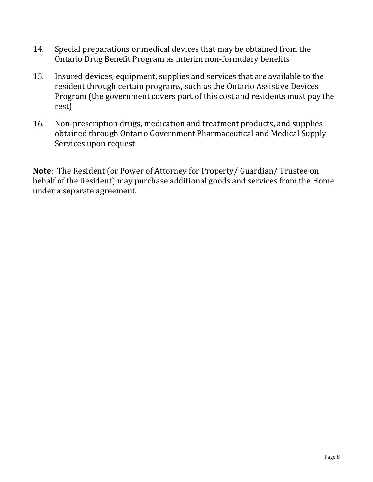- 14. Special preparations or medical devices that may be obtained from the Ontario Drug Benefit Program as interim non-formulary benefits
- 15. Insured devices, equipment, supplies and services that are available to the resident through certain programs, such as the Ontario Assistive Devices Program (the government covers part of this cost and residents must pay the rest)
- 16. Non-prescription drugs, medication and treatment products, and supplies obtained through Ontario Government Pharmaceutical and Medical Supply Services upon request

**Note**: The Resident (or Power of Attorney for Property/ Guardian/ Trustee on behalf of the Resident) may purchase additional goods and services from the Home under a separate agreement.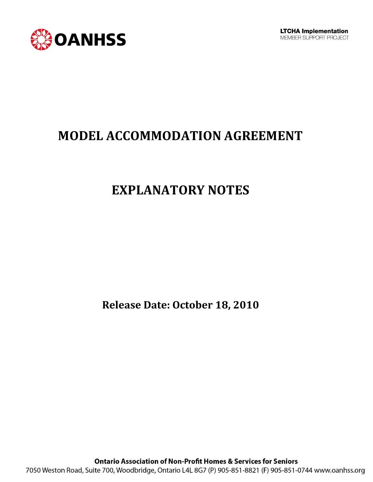

# **EXPLANATORY NOTES**

**Release Date: October 18, 2010**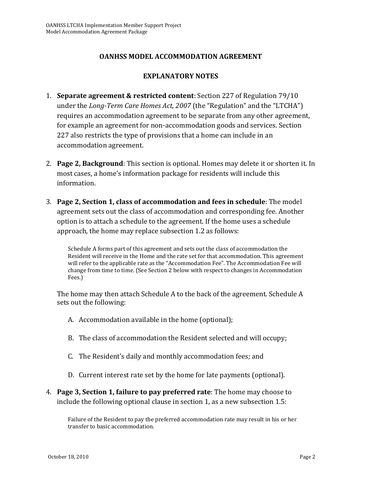#### **OANHSS MODEL ACCOMMODATION AGREEMENT**

#### **EXPLANATORY NOTES**

- 1. **Separate agreement & restricted content**: Section 227 of Regulation 79/10 under the *Long-Term Care Homes Act, 2007* (the "Regulation" and the "LTCHA") requires an accommodation agreement to be separate from any other agreement, for example an agreement for non-accommodation goods and services. Section 227 also restricts the type of provisions that a home can include in an accommodation agreement.
- 2. **Page 2, Background**: This section is optional. Homes may delete it or shorten it. In most cases, a home's information package for residents will include this information.
- 3. **Page 2, Section 1, class of accommodation and fees in schedule**: The model agreement sets out the class of accommodation and corresponding fee. Another option is to attach a schedule to the agreement. If the home uses a schedule approach, the home may replace subsection 1.2 as follows:

Schedule A forms part of this agreement and sets out the class of accommodation the Resident will receive in the Home and the rate set for that accommodation. This agreement will refer to the applicable rate as the "Accommodation Fee". The Accommodation Fee will change from time to time. (See Section 2 below with respect to changes in Accommodation Fees.)

The home may then attach Schedule A to the back of the agreement. Schedule A sets out the following:

- A. Accommodation available in the home (optional);
- B. The class of accommodation the Resident selected and will occupy;
- C. The Resident's daily and monthly accommodation fees; and
- D. Current interest rate set by the home for late payments (optional).
- 4. **Page 3, Section 1, failure to pay preferred rate**: The home may choose to include the following optional clause in section 1, as a new subsection 1.5:

Failure of the Resident to pay the preferred accommodation rate may result in his or her transfer to basic accommodation.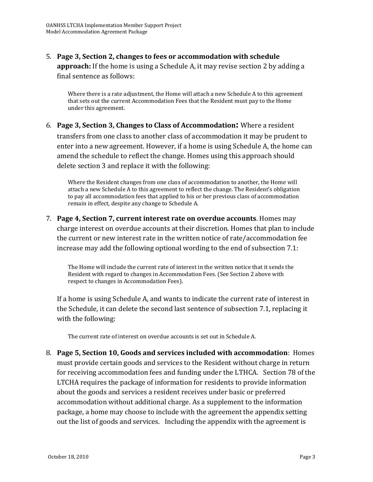#### 5. **Page 3, Section 2, changes to fees or accommodation with schedule**

**approach:** If the home is using a Schedule A, it may revise section 2 by adding a final sentence as follows:

Where there is a rate adjustment, the Home will attach a new Schedule A to this agreement that sets out the current Accommodation Fees that the Resident must pay to the Home under this agreement.

6. **Page 3, Section 3, Changes to Class of Accommodation:** Where a resident transfers from one class to another class of accommodation it may be prudent to enter into a new agreement. However, if a home is using Schedule A, the home can amend the schedule to reflect the change. Homes using this approach should delete section 3 and replace it with the following:

Where the Resident changes from one class of accommodation to another, the Home will attach a new Schedule A to this agreement to reflect the change. The Resident's obligation to pay all accommodation fees that applied to his or her previous class of accommodation remain in effect, despite any change to Schedule A.

7. **Page 4, Section 7, current interest rate on overdue accounts**. Homes may charge interest on overdue accounts at their discretion. Homes that plan to include the current or new interest rate in the written notice of rate/accommodation fee increase may add the following optional wording to the end of subsection 7.1:

The Home will include the current rate of interest in the written notice that it sends the Resident with regard to changes in Accommodation Fees. (See Section 2 above with respect to changes in Accommodation Fees).

If a home is using Schedule A, and wants to indicate the current rate of interest in the Schedule, it can delete the second last sentence of subsection 7.1, replacing it with the following:

The current rate of interest on overdue accounts is set out in Schedule A.

8. **Page 5, Section 10, Goods and services included with accommodation**: Homes must provide certain goods and services to the Resident without charge in return for receiving accommodation fees and funding under the LTHCA. Section 78 of the LTCHA requires the package of information for residents to provide information about the goods and services a resident receives under basic or preferred accommodation without additional charge. As a supplement to the information package, a home may choose to include with the agreement the appendix setting out the list of goods and services. Including the appendix with the agreement is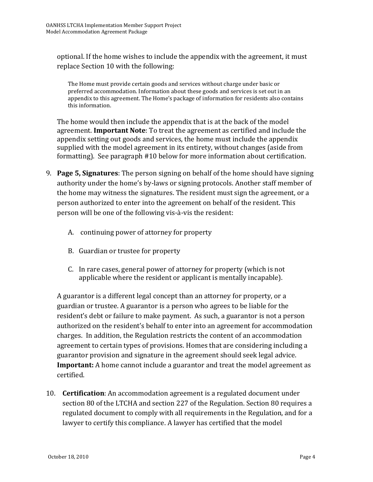optional. If the home wishes to include the appendix with the agreement, it must replace Section 10 with the following:

The Home must provide certain goods and services without charge under basic or preferred accommodation. Information about these goods and services is set out in an appendix to this agreement. The Home's package of information for residents also contains this information.

The home would then include the appendix that is at the back of the model agreement. **Important Note**: To treat the agreement as certified and include the appendix setting out goods and services, the home must include the appendix supplied with the model agreement in its entirety, without changes (aside from formatting). See paragraph #10 below for more information about certification.

- 9. **Page 5, Signatures**: The person signing on behalf of the home should have signing authority under the home's by-laws or signing protocols. Another staff member of the home may witness the signatures. The resident must sign the agreement, or a person authorized to enter into the agreement on behalf of the resident. This person will be one of the following vis-à-vis the resident:
	- A. continuing power of attorney for property
	- B. Guardian or trustee for property
	- C. In rare cases, general power of attorney for property (which is not applicable where the resident or applicant is mentally incapable).

A guarantor is a different legal concept than an attorney for property, or a guardian or trustee. A guarantor is a person who agrees to be liable for the resident's debt or failure to make payment. As such, a guarantor is not a person authorized on the resident's behalf to enter into an agreement for accommodation charges. In addition, the Regulation restricts the content of an accommodation agreement to certain types of provisions. Homes that are considering including a guarantor provision and signature in the agreement should seek legal advice. **Important:** A home cannot include a guarantor and treat the model agreement as certified.

10. **Certification**: An accommodation agreement is a regulated document under section 80 of the LTCHA and section 227 of the Regulation. Section 80 requires a regulated document to comply with all requirements in the Regulation, and for a lawyer to certify this compliance. A lawyer has certified that the model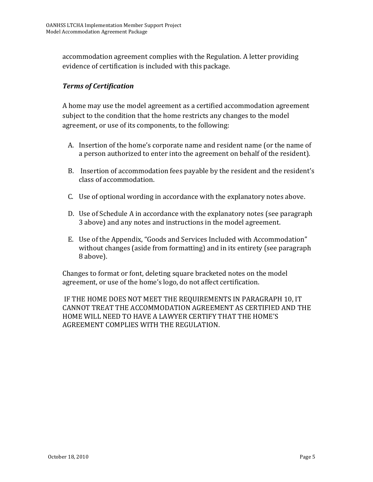accommodation agreement complies with the Regulation. A letter providing evidence of certification is included with this package.

#### *Terms of Certification*

A home may use the model agreement as a certified accommodation agreement subject to the condition that the home restricts any changes to the model agreement, or use of its components, to the following:

- A. Insertion of the home's corporate name and resident name (or the name of a person authorized to enter into the agreement on behalf of the resident).
- B. Insertion of accommodation fees payable by the resident and the resident's class of accommodation.
- C. Use of optional wording in accordance with the explanatory notes above.
- D. Use of Schedule A in accordance with the explanatory notes (see paragraph 3 above) and any notes and instructions in the model agreement.
- E. Use of the Appendix, "Goods and Services Included with Accommodation" without changes (aside from formatting) and in its entirety (see paragraph 8 above).

Changes to format or font, deleting square bracketed notes on the model agreement, or use of the home's logo, do not affect certification.

IF THE HOME DOES NOT MEET THE REQUIREMENTS IN PARAGRAPH 10, IT CANNOT TREAT THE ACCOMMODATION AGREEMENT AS CERTIFIED AND THE HOME WILL NEED TO HAVE A LAWYER CERTIFY THAT THE HOME'S AGREEMENT COMPLIES WITH THE REGULATION.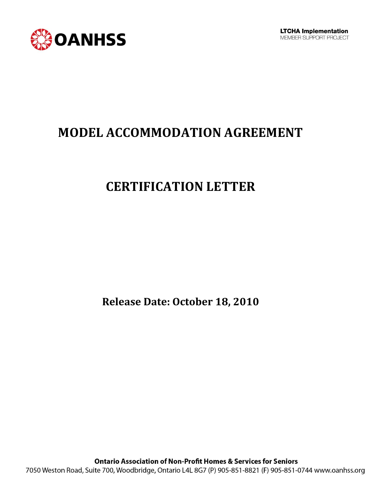

# **CERTIFICATION LETTER**

**Release Date: October 18, 2010**

**Ontario Association of Non-Profit Homes & Services for Seniors** 7050 Weston Road, Suite 700, Woodbridge, Ontario L4L 8G7 (P) 905-851-8821 (F) 905-851-0744 www.oanhss.org